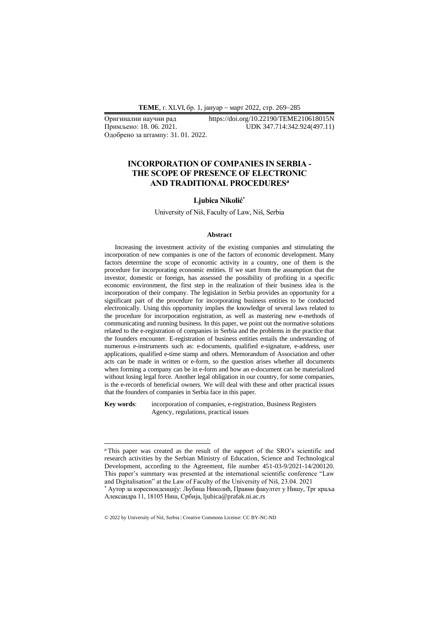**ТEME**, г. XLVI, бр. 1, јануар − март 2022, стр. 269−285

Одобрено за штампу: 31. 01. 2022.

### Оригинални научни рад https://doi.org/10.22190/TEME210618015N Примљено: 18. 06. 2021. UDK 347.714:342.924(497.11)

## **INCORPORATION OF COMPANIES IN SERBIA - THE SCOPE OF PRESENCE OF ELECTRONIC AND TRADITIONAL PROCEDURES<sup>a</sup>**

#### **Ljubica Nikolić\***

University of Niš, Faculty of Law, Niš, Serbia

#### **Abstract**

Increasing the investment activity of the existing companies and stimulating the incorporation of new companies is one of the factors of economic development. Many factors determine the scope of economic activity in a country, one of them is the procedure for incorporating economic entities. If we start from the assumption that the investor, domestic or foreign, has assessed the possibility of profiting in a specific economic environment, the first step in the realization of their business idea is the incorporation of their company. The legislation in Serbia provides an opportunity for a significant part of the procedure for incorporating business entities to be conducted electronically. Using this opportunity implies the knowledge of several laws related to the procedure for incorporation registration, as well as mastering new e-methods of communicating and running business. In this paper, we point out the normative solutions related to the e-registration of companies in Serbia and the problems in the practice that the founders encounter. E-registration of business entities entails the understanding of numerous e-instruments such as: e-documents, qualified e-signature, e-address, user applications, qualified e-time stamp and others. Memorandum of Association and other acts can be made in written or e-form, so the question arises whether all documents when forming a company can be in e-form and how an e-document can be materialized without losing legal force. Another legal obligation in our country, for some companies, is the e-records of beneficial owners. We will deal with these and other practical issues that the founders of companies in Serbia face in this paper.

**Key words**: incorporation of companies, e-registration, Business Registers Agency, regulations, practical issues

© 2022 by University of Niš, Serbia | Creative Commons License: CC BY-NC-ND

*<sup>a</sup>* This paper was created as the result of the support of the SRO's scientific and research activities by the Serbian Ministry of Education, Science and Technological Development, according to the Agreement, file number 451-03-9/2021-14/200120. This paper's summary was presented at the international scientific conference "Law and Digitalisation" at the Law of Faculty of the University of Niš, 23.04. 2021

<sup>\*</sup> Аутор за кореспонденцију: Љубица Николић, Правни факултет у Нишу, Трг краља Александра 11, 18105 Ниш, Србија, ljubica@prafak.ni.ac.rs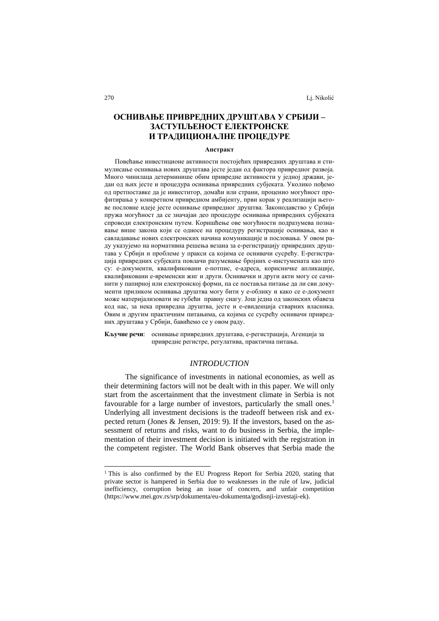# **ОСНИВАЊЕ ПРИВРЕДНИХ ДРУШТАВА У СРБИЈИ – ЗАСТУПЉЕНОСТ ЕЛЕКТРОНСКЕ И ТРАДИЦИОНАЛНЕ ПРОЦЕДУРЕ**

### **Апстракт**

Повећање инвестиционе активности постојећих привредних друштава и стимулисање оснивања нових друштава јесте један од фактора привредног развоја. Много чинилаца детерминише обим привредне активности у једној држави, један од њих јесте и процедура оснивања привредних субјеката. Уколико пођемо од претпоставке да је инвеститор, домаћи или страни, проценио могућност профитирања у конкретном привредном амбијенту, први корак у реализацији његове пословне идеје јесте оснивање привредног друштва. Законодавство у Србији пружа могућност да се значајан део процедуре оснивања привредних субјеката спроводи електронским путем. Коришћење ове могућности подразумева познавање више закона који се односе на процедуру регистрације оснивања, као и савладавање нових електронских начина комуникације и пословања. У овом раду указујемо на нормативна решења везана за е-регистрацију привредних друштава у Србији и проблеме у пракси са којима се оснивачи сусрећу. Е-регистрација привредних субјеката повлачи разумевање бројних е-инстумената као што су: е-документи, квалификовани е-потпис, е-адреса, корисничке апликације, квалификовани е-временски жиг и други. Оснивачки и други акти могу се сачинити у папирној или електронској форми, па се поставља питање да ли сви документи приликом оснивања друштва могу бити у е-облику и како се е-документ може материјализовати не губећи правну снагу. Још једна од законских обавеза код нас, за нека привредна друштва, јесте и е-евиденција стварних власника. Овим и другим практичним питањима, са којима се сусрећу оснивачи привредних друштава у Србији, бавићемо се у овом раду.

**Кључне речи**: оснивање привредних друштава, е-регистрација, Агенција за привредне регистре, регулатива, практична питањa.

### *INTRODUCTION*

The significance of investments in national economies, as well as their determining factors will not be dealt with in this paper. We will only start from the ascertainment that the investment climate in Serbia is not favourable for a large number of investors, particularly the small ones.<sup>1</sup> Underlying all investment decisions is the tradeoff between risk and expected return (Jones & Jensen, 2019: 9). If the investors, based on the assessment of returns and risks, want to do business in Serbia, the implementation of their investment decision is initiated with the registration in the competent register. The World Bank observes that Serbia made the

<sup>&</sup>lt;sup>1</sup> This is also confirmed by the EU Progress Report for Serbia 2020, stating that private sector is hampered in Serbia due to weaknesses in the rule of law, judicial inefficiency, corruption being an issue of concern, and unfair competition [\(https://www.mei.gov.rs/srp/dokumenta/eu-dokumenta/godisnji-izvestaji-ek\)](https://www.mei.gov.rs/srp/dokumenta/eu-dokumenta/godisnji-izvestaji-ek).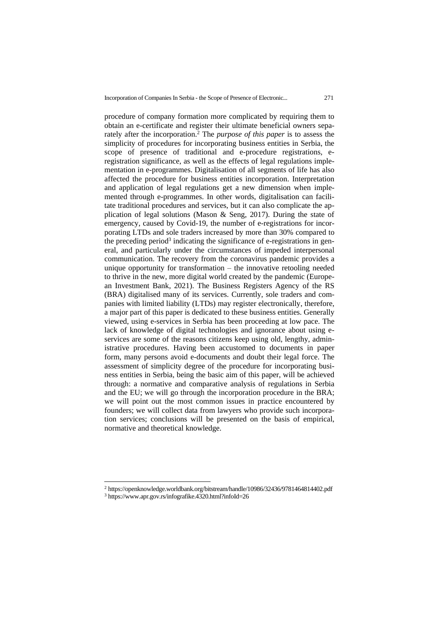procedure of company formation more complicated by requiring them to obtain an e-certificate and register their ultimate beneficial owners separately after the incorporation.<sup>2</sup> The *purpose of this paper* is to assess the simplicity of procedures for incorporating business entities in Serbia, the scope of presence of traditional and e-procedure registrations, eregistration significance, as well as the effects of legal regulations implementation in e-programmes. Digitalisation of all segments of life has also affected the procedure for business entities incorporation. Interpretation and application of legal regulations get a new dimension when implemented through e-programmes. In other words, digitalisation can facilitate traditional procedures and services, but it can also complicate the application of legal solutions (Mason & Seng, 2017). During the state of emergency, caused by Covid-19, the number of e-registrations for incorporating LTDs and sole traders increased by more than 30% compared to the preceding period<sup>3</sup> indicating the significance of e-registrations in general, and particularly under the circumstances of impeded interpersonal communication. The recovery from the coronavirus pandemic provides a unique opportunity for transformation – the innovative retooling needed to thrive in the new, more digital world created by the pandemic (European Investment Bank, 2021). The Business Registers Agency of the RS (BRA) digitalised many of its services. Currently, sole traders and companies with limited liability (LTDs) may register electronically, therefore, a major part of this paper is dedicated to these business entities. Generally viewed, using e-services in Serbia has been proceeding at low pace. The lack of knowledge of digital technologies and ignorance about using eservices are some of the reasons citizens keep using old, lengthy, administrative procedures. Having been accustomed to documents in paper form, many persons avoid e-documents and doubt their legal force. The assessment of simplicity degree of the procedure for incorporating business entities in Serbia, being the basic aim of this paper, will be achieved through: a normative and comparative analysis of regulations in Serbia and the EU; we will go through the incorporation procedure in the BRA; we will point out the most common issues in practice encountered by founders; we will collect data from lawyers who provide such incorporation services; conclusions will be presented on the basis of empirical, normative and theoretical knowledge.

<sup>2</sup> <https://openknowledge.worldbank.org/bitstream/handle/10986/32436/9781464814402.pdf>

<sup>3</sup> <https://www.apr.gov.rs/infografike.4320.html?infoId=26>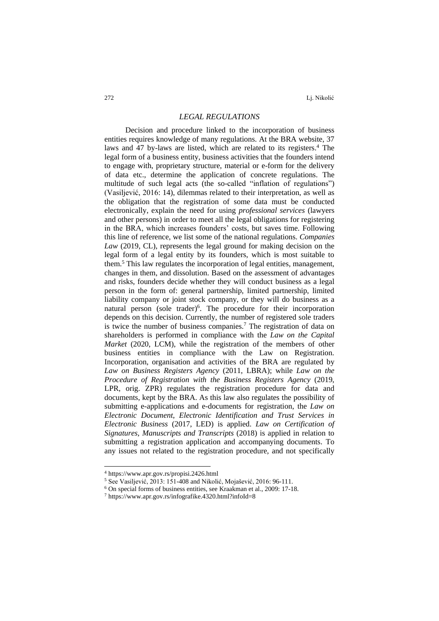272 Lj. Nikolić

### *LEGAL REGULATIONS*

Decision and procedure linked to the incorporation of business entities requires knowledge of many regulations. At the BRA website, 37 laws and 47 by-laws are listed, which are related to its registers.<sup>4</sup> The legal form of a business entity, business activities that the founders intend to engage with, proprietary structure, material or e-form for the delivery of data etc., determine the application of concrete regulations. The multitude of such legal acts (the so-called "inflation of regulations") (Vasilјević, 2016: 14), dilemmas related to their interpretation, as well as the obligation that the registration of some data must be conducted electronically, explain the need for using *professional services* (lawyers and other persons) in order to meet all the legal obligations for registering in the BRA, which increases founders' costs, but saves time. Following this line of reference, we list some of the national regulations. *Companies Law* (2019, CL), represents the legal ground for making decision on the legal form of a legal entity by its founders, which is most suitable to them.<sup>5</sup> This law regulates the incorporation of legal entities, management, changes in them, and dissolution. Based on the assessment of advantages and risks, founders decide whether they will conduct business as a legal person in the form of: general partnership, limited partnership, limited liability company or joint stock company, or they will do business as a natural person (sole trader)<sup>6</sup>. The procedure for their incorporation depends on this decision. Currently, the number of registered sole traders is twice the number of business companies.<sup>7</sup> The registration of data on shareholders is performed in compliance with the *Law on the Capital Market* (2020, LCM), while the registration of the members of other business entities in compliance with the Law on Registration. Incorporation, organisation and activities of the BRA are regulated by *Law on Business Registers Agency* (2011, LBRA); while *Law on the Procedure of Registration with the Business Registers Agency* (2019, LPR, orig. ZPR) regulates the registration procedure for data and documents, kept by the BRA. As this law also regulates the possibility of submitting e-applications and e-documents for registration, the *Law on Electronic Document, Electronic Identification and Trust Services in Electronic Business* (2017, LED) is applied. *Law on Certification of Signatures, Manuscripts and Transcripts* (2018) is applied in relation to submitting a registration application and accompanying documents. To any issues not related to the registration procedure, and not specifically

<sup>4</sup> <https://www.apr.gov.rs/propisi.2426.html>

<sup>5</sup> See Vasiljević, 2013: 151-408 and Nikolić, Mojašević, 2016: 96-111.

<sup>6</sup> On special forms of business entities, see Kraakman et al., 2009: 17-18.

<sup>7</sup> <https://www.apr.gov.rs/infografike.4320.html?infoId=8>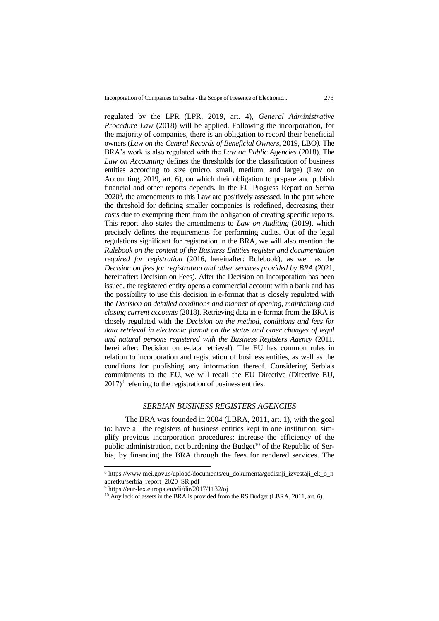Incorporation of Companies In Serbia - the Scope of Presence of Electronic... 273

regulated by the LPR (LPR, 2019, art. 4), *General Administrative Procedure Law* (2018) will be applied. Following the incorporation, for the majority of companies, there is an obligation to record their beneficial owners (*Law on the Central Records of Beneficial Owners,* 2019, LBO*).* The BRA's work is also regulated with the *Law on Public Agencies* (2018). The *Law on Accounting* defines the thresholds for the classification of business entities according to size (micro, small, medium, and large) (Law on Accounting, 2019, art. 6), on which their obligation to prepare and publish financial and other reports depends. In the EC Progress Report on Serbia  $2020<sup>8</sup>$ , the amendments to this Law are positively assessed, in the part where the threshold for defining smaller companies is redefined, decreasing their costs due to exempting them from the obligation of creating specific reports. This report also states the amendments to *Law on Auditing* (2019), which precisely defines the requirements for performing audits. Out of the legal regulations significant for registration in the BRA, we will also mention the *Rulebook on the content of the Business Entities register and documentation required for registration* (2016, hereinafter: Rulebook), as well as the *Decision on fees for registration and other services provided by BRA* (2021, hereinafter: Decision on Fees). After the Decision on Incorporation has been issued, the registered entity opens a commercial account with a bank and has the possibility to use this decision in e-format that is closely regulated with the *Decision on detailed conditions and manner of opening, maintaining and closing current accounts* (2018). Retrieving data in e-format from the BRA is closely regulated with the *Decision on the method, conditions and fees for data retrieval in electronic format on the status and other changes of legal and natural persons registered with the Business Registers Agency* (2011, hereinafter: Decision on e-data retrieval). The EU has common rules in relation to incorporation and registration of business entities, as well as the conditions for publishing any information thereof. Considering Serbia's commitments to the EU, we will recall the EU Directive (Directive EU, 2017)<sup>9</sup> referring to the registration of business entities.

#### *SERBIAN BUSINESS REGISTERS AGENCIES*

The BRA was founded in 2004 (LBRA, 2011, art. 1), with the goal to: have all the registers of business entities kept in one institution; simplify previous incorporation procedures; increase the efficiency of the public administration, not burdening the Budget<sup>10</sup> of the Republic of Serbia, by financing the BRA through the fees for rendered services. The

<sup>8</sup> [https://www.mei.gov.rs/upload/documents/eu\\_dokumenta/godisnji\\_izvestaji\\_ek\\_o\\_n](https://www.mei.gov.rs/upload/documents/eu_dokumenta/godisnji_izvestaji_ek_o_napretku/serbia_report_2020_SR.pdf) [apretku/serbia\\_report\\_2020\\_SR.pdf](https://www.mei.gov.rs/upload/documents/eu_dokumenta/godisnji_izvestaji_ek_o_napretku/serbia_report_2020_SR.pdf)

 $9$  <https://eur-lex.europa.eu/eli/dir/2017/1132/oj>

<sup>&</sup>lt;sup>10</sup> Any lack of assets in the BRA is provided from the RS Budget (LBRA, 2011, art. 6).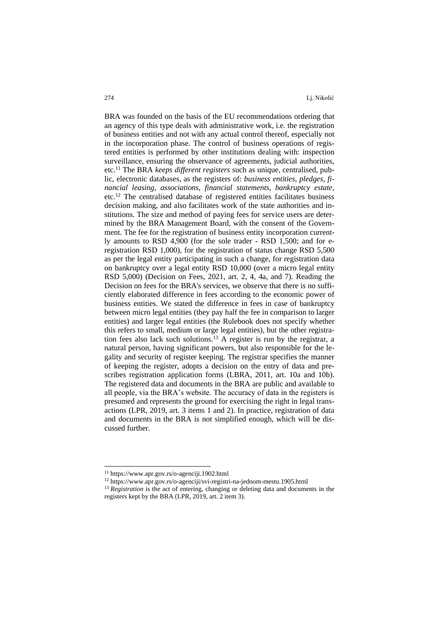BRA was founded on the basis of the EU recommendations ordering that an agency of this type deals with administrative work, i.e. the registration of business entities and not with any actual control thereof, especially not in the incorporation phase. The control of business operations of registered entities is performed by other institutions dealing with: inspection surveillance, ensuring the observance of agreements, judicial authorities, etc.<sup>11</sup> The BRA *keeps different registers* such as unique, centralised, public, electronic databases, as the registers of: *business entities, pledges, financial leasing, associations, financial statements, bankruptcy estate*, etc.<sup>12</sup> The centralised database of registered entities facilitates business decision making, and also facilitates work of the state authorities and institutions. The size and method of paying fees for service users are determined by the BRA Management Board, with the consent of the Government. The fee for the registration of business entity incorporation currently amounts to RSD 4,900 (for the sole trader - RSD 1,500; and for eregistration RSD 1,000), for the registration of status change RSD 5,500 as per the legal entity participating in such a change, for registration data on bankruptcy over a legal entity RSD 10,000 (over a micro legal entity RSD 5,000) (Decision on Fees, 2021, art. 2, 4, 4a, and 7). Reading the Decision on fees for the BRA's services, we observe that there is no sufficiently elaborated difference in fees according to the economic power of business entities. We stated the difference in fees in case of bankruptcy between micro legal entities (they pay half the fee in comparison to larger entities) and larger legal entities (the Rulebook does not specify whether this refers to small, medium or large legal entities), but the other registration fees also lack such solutions.<sup>13</sup> A register is run by the registrar, a natural person, having significant powers, but also responsible for the legality and security of register keeping. The registrar specifies the manner of keeping the register, adopts a decision on the entry of data and prescribes registration application forms (LBRA, 2011, art. 10a and 10b). The registered data and documents in the BRA are public and available to all people, via the BRA's website. The accuracy of data in the registers is presumed and represents the ground for exercising the right in legal transactions (LPR, 2019, art. 3 items 1 and 2). In practice, registration of data and documents in the BRA is not simplified enough, which will be discussed further.

<sup>11</sup> <https://www.apr.gov.rs/o-agenciji.1902.html>

<sup>12</sup> <https://www.apr.gov.rs/o-agenciji/svi-registri-na-jednom-mestu.1905.html>

<sup>&</sup>lt;sup>13</sup> *Registration* is the act of entering, changing or deleting data and documents in the registers kept by the BRA (LPR, 2019, art. 2 item 3).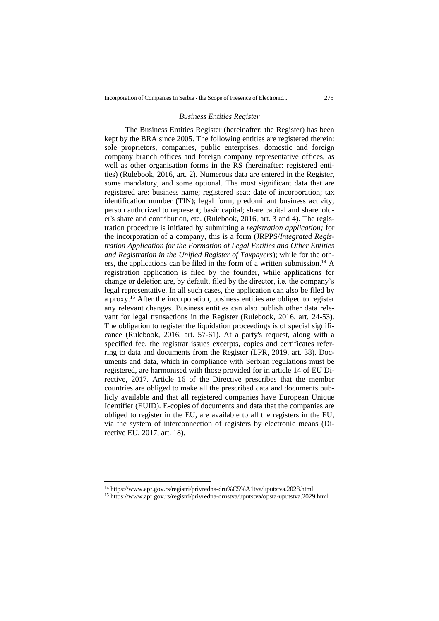#### *Business Entities Register*

The Business Entities Register (hereinafter: the Register) has been kept by the BRA since 2005. The following entities are registered therein: sole proprietors, companies, public enterprises, domestic and foreign company branch offices and foreign company representative offices, as well as other organisation forms in the RS (hereinafter: registered entities) (Rulebook, 2016, art. 2). Numerous data are entered in the Register, some mandatory, and some optional. The most significant data that are registered are: business name; registered seat; date of incorporation; tax identification number (TIN); legal form; predominant business activity; person authorized to represent; basic capital; share capital and shareholder's share and contribution, etc. (Rulebook, 2016, art. 3 and 4). The registration procedure is initiated by submitting a *registration application;* for the incorporation of a company, this is a form (JRPPS/*Integrated Registration Application for the Formation of Legal Entities and Other Entities and Registration in the Unified Register of Taxpayers*); while for the others, the applications can be filed in the form of a written submission.<sup>14</sup> A registration application is filed by the founder, while applications for change or deletion are, by default, filed by the director, i.e. the company's legal representative. In all such cases, the application can also be filed by a proxy. <sup>15</sup> After the incorporation, business entities are obliged to register any relevant changes. Business entities can also publish other data relevant for legal transactions in the Register (Rulebook, 2016, art. 24-53). The obligation to register the liquidation proceedings is of special significance (Rulebook, 2016, art. 57-61). At a party's request, along with a specified fee, the registrar issues excerpts, copies and certificates referring to data and documents from the Register (LPR, 2019, art. 38). Documents and data, which in compliance with Serbian regulations must be registered, are harmonised with those provided for in article 14 of EU Directive, 2017. Article 16 of the Directive prescribes that the member countries are obliged to make all the prescribed data and documents publicly available and that all registered companies have European Unique Identifier (EUID). E-copies of documents and data that the companies are obliged to register in the EU, are available to all the registers in the EU, via the system of interconnection of registers by electronic means (Directive EU, 2017, art. 18).

<sup>14</sup> [https://www.apr.gov.rs/registri/privredna-dru%C5%A1tva/uputstva.2028.html](https://www.apr.gov.rs/registri/privredna-društva/uputstva.2028.html)

<sup>15</sup> <https://www.apr.gov.rs/registri/privredna-drustva/uputstva/opsta-uputstva.2029.html>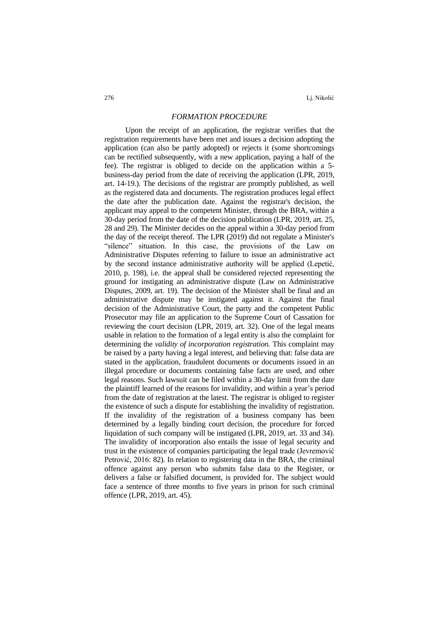276 Lj. Nikolić

### *FORMATION PROCEDURE*

Upon the receipt of an application, the registrar verifies that the registration requirements have been met and issues a decision adopting the application (can also be partly adopted) or rejects it (some shortcomings can be rectified subsequently, with a new application, paying a half of the fee). The registrar is obliged to decide on the application within a 5 business-day period from the date of receiving the application (LPR, 2019, art. 14-19.). The decisions of the registrar are promptly published, as well as the registered data and documents. The registration produces legal effect the date after the publication date. Against the registrar's decision, the applicant may appeal to the competent Minister, through the BRA, within a 30-day period from the date of the decision publication (LPR, 2019, art. 25, 28 and 29). The Minister decides on the appeal within a 30-day period from the day of the receipt thereof. The LPR (2019) did not regulate a Minister's "silence" situation. In this case, the provisions of the Law on Administrative Disputes referring to failure to issue an administrative act by the second instance administrative authority will be applied (Lepetić, 2010, p. 198), i.e. the appeal shall be considered rejected representing the ground for instigating an administrative dispute (Law on Administrative Disputes, 2009, art. 19). The decision of the Minister shall be final and an administrative dispute may be instigated against it. Against the final decision of the Administrative Court, the party and the competent Public Prosecutor may file an application to the Supreme Court of Cassation for reviewing the court decision (LPR, 2019, art. 32). One of the legal means usable in relation to the formation of a legal entity is also the complaint for determining the *validity of incorporation registration.* This complaint may be raised by a party having a legal interest, and believing that: false data are stated in the application, fraudulent documents or documents issued in an illegal procedure or documents containing false facts are used, and other legal reasons. Such lawsuit can be filed within a 30-day limit from the date the plaintiff learned of the reasons for invalidity, and within a year's period from the date of registration at the latest. The registrar is obliged to register the existence of such a dispute for establishing the invalidity of registration. If the invalidity of the registration of a business company has been determined by a legally binding court decision, the procedure for forced liquidation of such company will be instigated (LPR, 2019, art. 33 and 34). The invalidity of incorporation also entails the issue of legal security and trust in the existence of companies participating the legal trade (Jevremović Petrović, 2016: 82). In relation to registering data in the BRA, the criminal offence against any person who submits false data to the Register, or delivers a false or falsified document, is provided for. The subject would face a sentence of three months to five years in prison for such criminal offence (LPR, 2019, art. 45).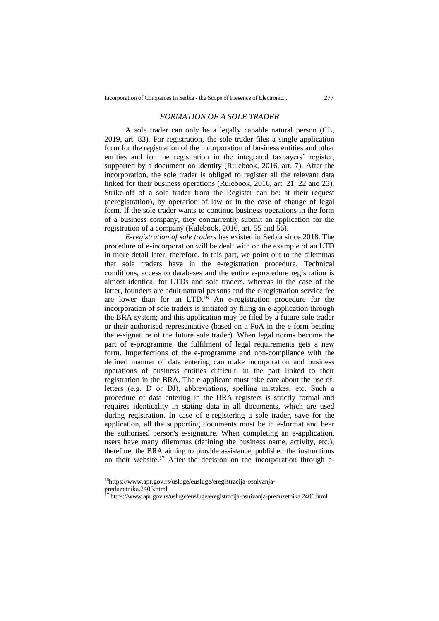### *FORMATION OF A SOLE TRADER*

A sole trader can only be a legally capable natural person (CL, 2019, art. 83). For registration, the sole trader files a single application form for the registration of the incorporation of business entities and other entities and for the registration in the integrated taxpayers' register, supported by a document on identity (Rulebook, 2016, art. 7). After the incorporation, the sole trader is obliged to register all the relevant data linked for their business operations (Rulebook, 2016, art. 21, 22 and 23). Strike-off of a sole trader from the Register can be: at their request (deregistration), by operation of law or in the case of change of legal form. If the sole trader wants to continue business operations in the form of a business company, they concurrently submit an application for the registration of a company (Rulebook, 2016, art. 55 and 56).

*E-registration of sole traders* has existed in Serbia since 2018. The procedure of e-incorporation will be dealt with on the example of an LTD in more detail later; therefore, in this part, we point out to the dilemmas that sole traders have in the e-registration procedure. Technical conditions, access to databases and the entire e-procedure registration is almost identical for LTDs and sole traders, whereas in the case of the latter, founders are adult natural persons and the e-registration service fee are lower than for an LTD.<sup>16</sup> An e-registration procedure for the incorporation of sole traders is initiated by filing an e-application through the BRA system; and this application may be filed by a future sole trader or their authorised representative (based on a PoA in the e-form bearing the e-signature of the future sole trader). When legal norms become the part of e-programme, the fulfilment of legal requirements gets a new form. Imperfections of the e-programme and non-compliance with the defined manner of data entering can make incorporation and business operations of business entities difficult, in the part linked to their registration in the BRA. The e-applicant must take care about the use of: letters (e.g. Đ or DJ), abbreviations, spelling mistakes, etc. Such a procedure of data entering in the BRA registers is strictly formal and requires identicality in stating data in all documents, which are used during registration. In case of e-registering a sole trader, save for the application, all the supporting documents must be in e-format and bear the authorised person's e-signature. When completing an e-application, users have many dilemmas (defining the business name, activity, etc.); therefore, the BRA aiming to provide assistance, published the instructions on their website.<sup>17</sup> After the decision on the incorporation through e-

<sup>16</sup>[https://www.apr.gov.rs/usluge/eusluge/eregistracija-osnivanja-](https://www.apr.gov.rs/usluge/eusluge/eregistracija-osnivanja-preduzetnika.2406.html)

[preduzetnika.2406.html](https://www.apr.gov.rs/usluge/eusluge/eregistracija-osnivanja-preduzetnika.2406.html)

<sup>&</sup>lt;sup>17</sup> <https://www.apr.gov.rs/usluge/eusluge/eregistracija-osnivanja-preduzetnika.2406.html>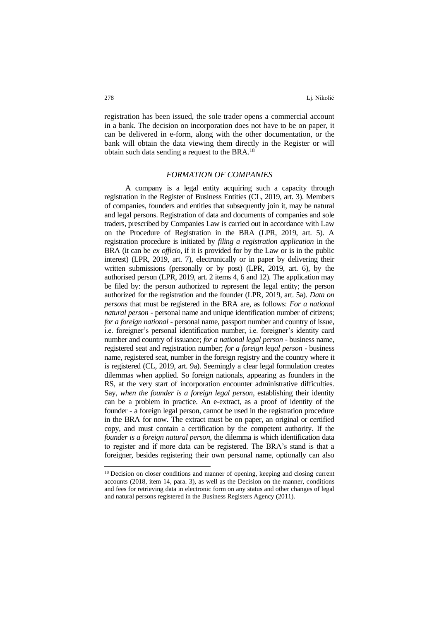registration has been issued, the sole trader opens a commercial account in a bank. The decision on incorporation does not have to be on paper, it can be delivered in e-form, along with the other documentation, or the bank will obtain the data viewing them directly in the Register or will obtain such data sending a request to the BRA.<sup>18</sup>

### *FORMATION OF COMPANIES*

A company is a legal entity acquiring such a capacity through registration in the Register of Business Entities (CL, 2019, art. 3). Members of companies, founders and entities that subsequently join it, may be natural and legal persons. Registration of data and documents of companies and sole traders, prescribed by Companies Law is carried out in accordance with Law on the Procedure of Registration in the BRA (LPR, 2019, art. 5). A registration procedure is initiated by *filing a registration application* in the BRA (it can be *ex officio*, if it is provided for by the Law or is in the public interest) (LPR, 2019, art. 7), electronically or in paper by delivering their written submissions (personally or by post) (LPR, 2019, art. 6), by the authorised person (LPR, 2019, art. 2 items 4, 6 and 12). The application may be filed by: the person authorized to represent the legal entity; the person authorized for the registration and the founder (LPR, 2019, art. 5a). *Data on persons* that must be registered in the BRA are, as follows: *For a national natural person* - personal name and unique identification number of citizens; *for a foreign national* - personal name, passport number and country of issue, i.e. foreigner's personal identification number, i.e. foreigner's identity card number and country of issuance; *for a national legal person* - business name, registered seat and registration number; *for a foreign legal person* - business name, registered seat, number in the foreign registry and the country where it is registered (CL, 2019, art. 9a). Seemingly a clear legal formulation creates dilemmas when applied. So foreign nationals, appearing as founders in the RS, at the very start of incorporation encounter administrative difficulties. Say, *when the founder is a foreign legal person*, establishing their identity can be a problem in practice. An e-extract, as a proof of identity of the founder - a foreign legal person, cannot be used in the registration procedure in the BRA for now. The extract must be on paper, an original or certified copy, and must contain a certification by the competent authority. If the *founder is a foreign natural person*, the dilemma is which identification data to register and if more data can be registered. The BRA's stand is that a foreigner, besides registering their own personal name, optionally can also

<sup>18</sup> Decision on closer conditions and manner of opening, keeping and closing current accounts (2018, item 14, para. 3), as well as the Decision on the manner, conditions and fees for retrieving data in electronic form on any status and other changes of legal and natural persons registered in the Business Registers Agency (2011).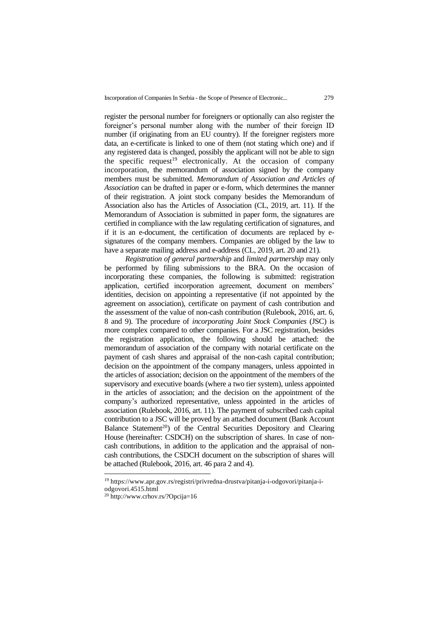register the personal number for foreigners or optionally can also register the foreigner's personal number along with the number of their foreign ID number (if originating from an EU country). If the foreigner registers more data, an e-certificate is linked to one of them (not stating which one) and if any registered data is changed, possibly the applicant will not be able to sign the specific request<sup>19</sup> electronically. At the occasion of company incorporation, the memorandum of association signed by the company members must be submitted. *Memorandum of Association and Articles of Association* can be drafted in paper or e-form, which determines the manner of their registration. A joint stock company besides the Memorandum of Association also has the Articles of Association (CL, 2019, art. 11). If the Memorandum of Association is submitted in paper form, the signatures are certified in compliance with the law regulating certification of signatures, and if it is an e-document, the certification of documents are replaced by esignatures of the company members. Companies are obliged by the law to have a separate mailing address and e-address (CL, 2019, art. 20 and 21).

*Registration of general partnership* and *limited partnership* may only be performed by filing submissions to the BRA. On the occasion of incorporating these companies, the following is submitted: registration application, certified incorporation agreement, document on members' identities, decision on appointing a representative (if not appointed by the agreement on association), certificate on payment of cash contribution and the assessment of the value of non-cash contribution (Rulebook, 2016, art. 6, 8 and 9). The procedure of *incorporating Joint Stock Companies* (JSC) is more complex compared to other companies. For a JSC registration, besides the registration application, the following should be attached: the memorandum of association of the company with notarial certificate on the payment of cash shares and appraisal of the non-cash capital contribution; decision on the appointment of the company managers, unless appointed in the articles of association; decision on the appointment of the members of the supervisory and executive boards (where a two tier system), unless appointed in the articles of association; and the decision on the appointment of the company's authorized representative, unless appointed in the articles of association (Rulebook, 2016, art. 11). The payment of subscribed cash capital contribution to a JSC will be proved by an attached document (Bank Account Balance Statement<sup>20</sup>) of the Central Securities Depository and Clearing House (hereinafter: CSDCH) on the subscription of shares. In case of noncash contributions, in addition to the application and the appraisal of noncash contributions, the CSDCH document on the subscription of shares will be attached (Rulebook, 2016, art. 46 para 2 and 4).

<sup>19</sup> [https://www.apr.gov.rs/registri/privredna-drustva/pitanja-i-odgovori/pitanja-i](https://www.apr.gov.rs/registri/privredna-drustva/pitanja-i-odgovori/pitanja-i-odgovori.4515.html)[odgovori.4515.html](https://www.apr.gov.rs/registri/privredna-drustva/pitanja-i-odgovori/pitanja-i-odgovori.4515.html)

<sup>20</sup> <http://www.crhov.rs/?Opcija=16>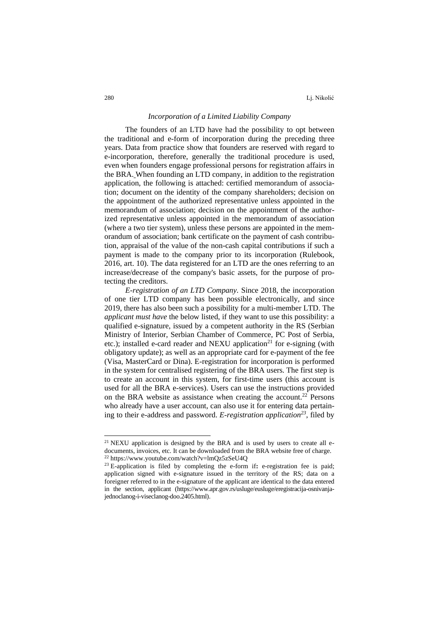### *Incorporation of a Limited Liability Company*

The founders of an LTD have had the possibility to opt between the traditional and e-form of incorporation during the preceding three years. Data from practice show that founders are reserved with regard to e-incorporation, therefore, generally the traditional procedure is used, even when founders engage professional persons for registration affairs in the BRA. When founding an LTD company, in addition to the registration application, the following is attached: certified memorandum of association; document on the identity of the company shareholders; decision on the appointment of the authorized representative unless appointed in the memorandum of association; decision on the appointment of the authorized representative unless appointed in the memorandum of association (where a two tier system), unless these persons are appointed in the memorandum of association; bank certificate on the payment of cash contribution, appraisal of the value of the non-cash capital contributions if such a payment is made to the company prior to its incorporation (Rulebook, 2016, art. 10). The data registered for an LTD are the ones referring to an increase/decrease of the company's basic assets, for the purpose of protecting the creditors.

*E-registration of an LTD Company.* Since 2018, the incorporation of one tier LTD company has been possible electronically, and since 2019, there has also been such a possibility for a multi-member LTD. The *applicant must have* the below listed, if they want to use this possibility: a qualified e-signature, issued by a competent authority in the RS (Serbian Ministry of Interior, Serbian Chamber of Commerce, PC Post of Serbia, etc.); installed e-card reader and NEXU application<sup>21</sup> for e-signing (with obligatory update); as well as an appropriate card for e-payment of the fee (Visa, MasterCard or Dina). E-registration for incorporation is performed in the system for centralised registering of the BRA users. The first step is to create an account in this system, for first-time users (this account is used for all the BRA e-services). Users can use the instructions provided on the BRA website as assistance when creating the account.<sup>22</sup> Persons who already have a user account, can also use it for entering data pertaining to their e-address and password. *E-registration application<sup>23</sup>*, filed by

<sup>&</sup>lt;sup>21</sup> NEXU application is designed by the BRA and is used by users to create all edocuments, invoices, etc. It can be downloaded from the BRA website free of charge. <sup>22</sup> <https://www.youtube.com/watch?v=lmQz5zSeU4Q>

<sup>&</sup>lt;sup>23</sup> E-application is filed by completing the e-form if: e-registration fee is paid; application signed with e-signature issued in the territory of the RS; data on a foreigner referred to in the e-signature of the applicant are identical to the data entered in the section, applicant [\(https://www.apr.gov.rs/usluge/eusluge/eregistracija-osnivanja](https://www.apr.gov.rs/usluge/eusluge/eregistracija-osnivanja-jednoclanog-i-viseclanog-doo.2405.html)[jednoclanog-i-viseclanog-doo.2405.html\)](https://www.apr.gov.rs/usluge/eusluge/eregistracija-osnivanja-jednoclanog-i-viseclanog-doo.2405.html).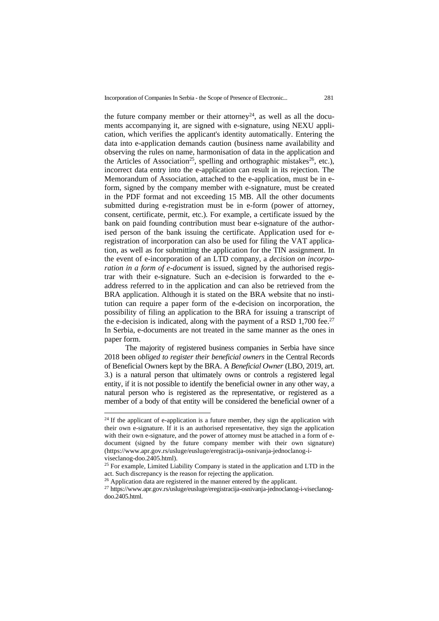Incorporation of Companies In Serbia - the Scope of Presence of Electronic... 281

the future company member or their attorney<sup>24</sup>, as well as all the documents accompanying it, are signed with e-signature, using NEXU application, which verifies the applicant's identity automatically. Entering the data into e-application demands caution (business name availability and observing the rules on name, harmonisation of data in the application and the Articles of Association<sup>25</sup>, spelling and orthographic mistakes<sup>26</sup>, etc.), incorrect data entry into the e-application can result in its rejection. The Memorandum of Association, attached to the e-application, must be in eform, signed by the company member with e-signature, must be created in the PDF format and not exceeding 15 MB. All the other documents submitted during e-registration must be in e-form (power of attorney, consent, certificate, permit, etc.). For example, a certificate issued by the bank on paid founding contribution must bear e-signature of the authorised person of the bank issuing the certificate. Application used for eregistration of incorporation can also be used for filing the VAT application, as well as for submitting the application for the TIN assignment. In the event of e-incorporation of an LTD company, a *decision on incorporation in a form of e-document* is issued, signed by the authorised registrar with their e-signature. Such an e-decision is forwarded to the eaddress referred to in the application and can also be retrieved from the BRA application. Although it is stated on the BRA website that no institution can require a paper form of the e-decision on incorporation, the possibility of filing an application to the BRA for issuing a transcript of the e-decision is indicated, along with the payment of a RSD 1,700 fee.<sup>27</sup> In Serbia, e-documents are not treated in the same manner as the ones in paper form.

The majority of registered business companies in Serbia have since 2018 been *obliged to register their beneficial owners* in the Central Records of Beneficial Owners kept by the BRA. A *Beneficial Owner* (LBO, 2019, art. 3.) is a natural person that ultimately owns or controls a registered legal entity, if it is not possible to identify the beneficial owner in any other way, a natural person who is registered as the representative, or registered as a member of a body of that entity will be considered the beneficial owner of a

 $24$  If the applicant of e-application is a future member, they sign the application with their own e-signature. If it is an authorised representative, they sign the application with their own e-signature, and the power of attorney must be attached in a form of edocument (signed by the future company member with their own signature) [\(https://www.apr.gov.rs/usluge/eusluge/eregistracija-osnivanja-jednoclanog-i](https://www.apr.gov.rs/usluge/eusluge/eregistracija-osnivanja-jednoclanog-i-viseclanog-doo.2405.html)[viseclanog-doo.2405.html\)](https://www.apr.gov.rs/usluge/eusluge/eregistracija-osnivanja-jednoclanog-i-viseclanog-doo.2405.html).

<sup>&</sup>lt;sup>25</sup> For example, Limited Liability Company is stated in the application and LTD in the act. Such discrepancy is the reason for rejecting the application.

<sup>&</sup>lt;sup>26</sup> Application data are registered in the manner entered by the applicant.

<sup>27</sup> [https://www.apr.gov.rs/usluge/eusluge/eregistracija-osnivanja-jednoclanog-i-viseclanog](https://www.apr.gov.rs/usluge/eusluge/eregistracija-osnivanja-jednoclanog-i-viseclanog-doo.2405.html)[doo.2405.html.](https://www.apr.gov.rs/usluge/eusluge/eregistracija-osnivanja-jednoclanog-i-viseclanog-doo.2405.html)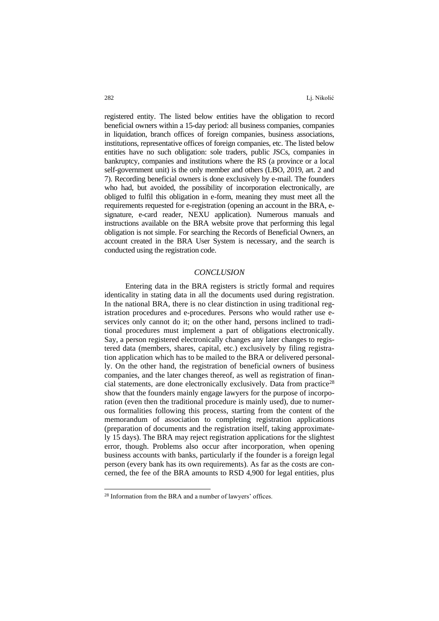registered entity. The listed below entities have the obligation to record beneficial owners within a 15-day period: all business companies, companies in liquidation, branch offices of foreign companies, business associations, institutions, representative offices of foreign companies, etc. The listed below entities have no such obligation: sole traders, public JSCs, companies in bankruptcy, companies and institutions where the RS (a province or a local self-government unit) is the only member and others (LBO, 2019, art. 2 and 7). Recording beneficial owners is done exclusively by e-mail. The founders who had, but avoided, the possibility of incorporation electronically, are obliged to fulfil this obligation in e-form, meaning they must meet all the requirements requested for e-registration (opening an account in the BRA, esignature, e-card reader, NEXU application). Numerous manuals and instructions available on the BRA website prove that performing this legal obligation is not simple. For searching the Records of Beneficial Owners, an account created in the BRA User System is necessary, and the search is conducted using the registration code.

### *CONCLUSION*

Entering data in the BRA registers is strictly formal and requires identicality in stating data in all the documents used during registration. In the national BRA, there is no clear distinction in using traditional registration procedures and e-procedures. Persons who would rather use eservices only cannot do it; on the other hand, persons inclined to traditional procedures must implement a part of obligations electronically. Say, a person registered electronically changes any later changes to registered data (members, shares, capital, etc.) exclusively by filing registration application which has to be mailed to the BRA or delivered personally. On the other hand, the registration of beneficial owners of business companies, and the later changes thereof, as well as registration of financial statements, are done electronically exclusively. Data from practice<sup>28</sup> show that the founders mainly engage lawyers for the purpose of incorporation (even then the traditional procedure is mainly used), due to numerous formalities following this process, starting from the content of the memorandum of association to completing registration applications (preparation of documents and the registration itself, taking approximately 15 days). The BRA may reject registration applications for the slightest error, though. Problems also occur after incorporation, when opening business accounts with banks, particularly if the founder is a foreign legal person (every bank has its own requirements). As far as the costs are concerned, the fee of the BRA amounts to RSD 4,900 for legal entities, plus

<sup>28</sup> Information from the BRA and a number of lawyers' offices.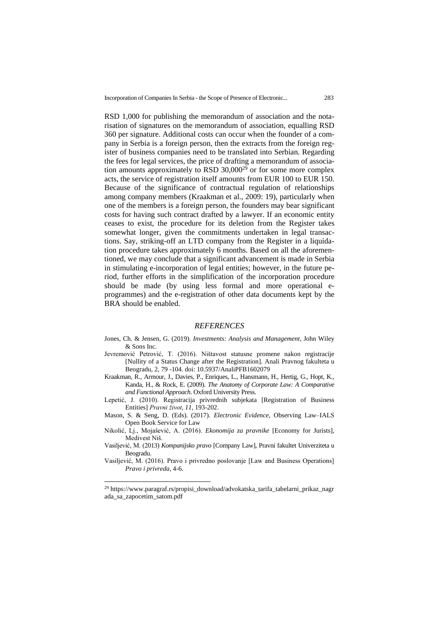RSD 1,000 for publishing the memorandum of association and the notarisation of signatures on the memorandum of association, equalling RSD 360 per signature. Additional costs can occur when the founder of a company in Serbia is a foreign person, then the extracts from the foreign register of business companies need to be translated into Serbian. Regarding the fees for legal services, the price of drafting a memorandum of association amounts approximately to RSD 30,000<sup>29</sup> or for some more complex acts, the service of registration itself amounts from EUR 100 to EUR 150. Because of the significance of contractual regulation of relationships among company members (Kraakman et al., 2009: 19), particularly when one of the members is a foreign person, the founders may bear significant costs for having such contract drafted by a lawyer. If an economic entity ceases to exist, the procedure for its deletion from the Register takes somewhat longer, given the commitments undertaken in legal transactions. Say, striking-off an LTD company from the Register in a liquidation procedure takes approximately 6 months. Based on all the aforementioned, we may conclude that a significant advancement is made in Serbia in stimulating e-incorporation of legal entities; however, in the future period, further efforts in the simplification of the incorporation procedure should be made (by using less formal and more operational eprogrammes) and the e-registration of other data documents kept by the BRA should be enabled.

#### *REFERENCES*

- Jones, Ch. & Jensen, G. (2019). *Investments: Analysis and Management*, John Wiley & Sons Inc.
- Jevremović Petrović, T. (2016). Ništavost statusne promene nakon registracije [Nullity of a Status Change after the Registration]. Anali Pravnog fakulteta u Beogradu, 2, 79 -104. doi: [10.5937/AnaliPFB1602079](https://doi.org/10.5937/AnaliPFB1602079J)
- Kraakman, R., Armour, J., Davies, P., Enriques, L., Hansmann, H., Hertig, G., Hopt, K., Kanda, H., & Rock, E. (2009). *The Anatomy of Corporate Law: A Comparative and Functional Approach*. Oxford University Press.
- Lepetić, J. (2010). Registracija privrednih subjekata [Registration of Business Entities] *Pravni život, 11,* 193-202.
- Mason, S. & Seng, D. (Eds). (2017). *Electronic Evidence*, Observing Law–IALS Open Book Service for Law
- Nikolić, Lj., Mojašević, A. (2016). *Ekonomija za pravnike* [Economy for Jurists], Medivest Niš.
- Vasilјević, M. (2013) *Kompanijsko pravo* [Company Law], Pravni fakultet Univerziteta u Beogradu.
- Vasilјević, M. (2016). Pravo i privredno poslovanje [Law and Business Operations] *Pravo i privreda*, 4-6.

<sup>&</sup>lt;sup>29</sup> [https://www.paragraf.rs/propisi\\_download/advokatska\\_tarifa\\_tabelarni\\_prikaz\\_nagr](https://www.paragraf.rs/propisi_download/advokatska_tarifa_tabelarni_prikaz_nagrada_sa_zapocetim_satom.pdf) [ada\\_sa\\_zapocetim\\_satom.pdf](https://www.paragraf.rs/propisi_download/advokatska_tarifa_tabelarni_prikaz_nagrada_sa_zapocetim_satom.pdf)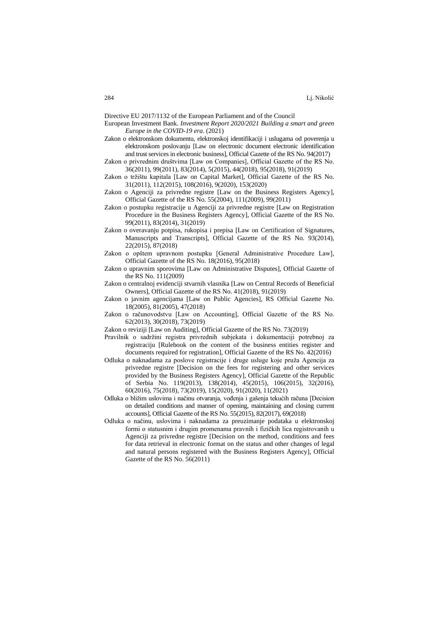Directive EU 2017/1132 of the European Parliament and of the Council

- European Investment Bank. *Investment Report 2020/2021 Building a smart and green Europe in the COVID-19 era*. (2021)
- Zakon o elektronskom dokumentu, elektronskoj identifikaciji i uslugama od poverenja u elektronskom poslovanju [Law on electronic document electronic identification and trust services in electronic business], Official Gazette of the RS No. 94(2017)
- Zakon o privrednim društvima [Law on Companies], Official Gazette of the RS No. 36(2011), 99(2011), 83(2014), 5(2015), 44(2018), 95(2018), 91(2019)
- Zakon o tržištu kapitala [Law on Capital Market], Official Gazette of the RS No. 31(2011), 112(2015), 108(2016), 9(2020), 153(2020)
- Zakon o Agenciji za privredne registre [Law on the Business Registers Agency], Official Gazette of the RS No. 55(2004), 111(2009), 99(2011)
- Zakon o postupku registracije u Agenciji za privredne registre [Law on Registration Procedure in the Business Registers Agency], Official Gazette of the RS No. 99(2011), 83(2014), 31(2019)
- Zakon o overavanju potpisa, rukopisa i prepisa [Law on Certification of Signatures, Manuscripts and Transcripts], Official Gazette of the RS No. 93(2014), 22(2015), 87(2018)
- Zakon o opštem upravnom postupku [General Administrative Procedure Law], Official Gazette of the RS No. 18(2016), 95(2018)
- Zakon o upravnim sporovima [Law on Administrative Disputes], Official Gazette of the RS No. 111(2009)
- Zakon o centralnoj evidenciji stvarnih vlasnika [Law on Central Records of Beneficial Owners], Official Gazette of the RS No. 41(2018), 91(2019)
- Zakon o javnim agencijama [Law on Public Agencies], RS Official Gazette No. 18(2005), 81(2005), 47(2018)
- Zakon o računovodstvu [Law on Accounting], Official Gazette of the RS No. 62(2013), 30(2018), 73(2019)
- Zakon o reviziji [Law on Auditing], Official Gazette of the RS No. 73(2019)
- Pravilnik o sadržini registra privrednih subjekata i dokumentaciji potrebnoj za registraciju [Rulebook on the content of the business entities register and documents required for registration], Official Gazette of the RS No. 42(2016)
- Odluka o naknadama za poslove registracije i druge usluge koje pruža Agencija za privredne registre [Decision on the fees for registering and other services provided by the Business Registers Agency], Official Gazette of the Republic of Serbia No. 119(2013), 138(2014), 45(2015), 106(2015), 32(2016), 60(2016), 75(2018), 73(2019), 15(2020), 91(2020), 11(2021)
- Odluka o bližim uslovima i načinu otvaranja, vođenja i gašenja tekućih računa [Decision on detailed conditions and manner of opening, maintaining and closing current accounts], Official Gazette of the RS No. 55(2015), 82(2017), 69(2018)
- Odluka o načinu, uslovima i naknadama za preuzimanje podataka u elektronskoj formi o statusnim i drugim promenama pravnih i fizičkih lica registrovanih u Agenciji za privredne registre [Decision on the method, conditions and fees for data retrieval in electronic format on the status and other changes of legal and natural persons registered with the Business Registers Agency], Official Gazette of the RS No. 56(2011)